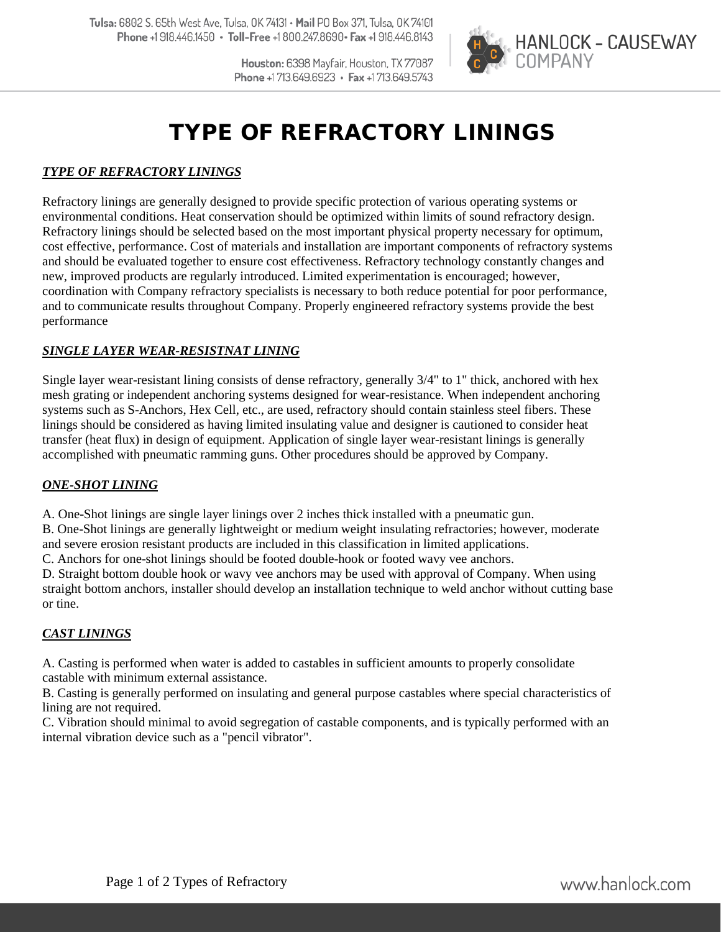

Houston: 6398 Mayfair, Houston, TX 77087 Phone +1713.649.6923 · Fax +1713.649.5743

## TYPE OF REFRACTORY LININGS

### *TYPE OF REFRACTORY LININGS*

Refractory linings are generally designed to provide specific protection of various operating systems or environmental conditions. Heat conservation should be optimized within limits of sound refractory design. Refractory linings should be selected based on the most important physical property necessary for optimum, cost effective, performance. Cost of materials and installation are important components of refractory systems and should be evaluated together to ensure cost effectiveness. Refractory technology constantly changes and new, improved products are regularly introduced. Limited experimentation is encouraged; however, coordination with Company refractory specialists is necessary to both reduce potential for poor performance, and to communicate results throughout Company. Properly engineered refractory systems provide the best performance

### *SINGLE LAYER WEAR-RESISTNAT LINING*

Single layer wear-resistant lining consists of dense refractory, generally 3/4" to 1" thick, anchored with hex mesh grating or independent anchoring systems designed for wear-resistance. When independent anchoring systems such as S-Anchors, Hex Cell, etc., are used, refractory should contain stainless steel fibers. These linings should be considered as having limited insulating value and designer is cautioned to consider heat transfer (heat flux) in design of equipment. Application of single layer wear-resistant linings is generally accomplished with pneumatic ramming guns. Other procedures should be approved by Company.

#### *ONE-SHOT LINING*

A. One-Shot linings are single layer linings over 2 inches thick installed with a pneumatic gun.

B. One-Shot linings are generally lightweight or medium weight insulating refractories; however, moderate and severe erosion resistant products are included in this classification in limited applications.

C. Anchors for one-shot linings should be footed double-hook or footed wavy vee anchors.

D. Straight bottom double hook or wavy vee anchors may be used with approval of Company. When using straight bottom anchors, installer should develop an installation technique to weld anchor without cutting base or tine.

### *CAST LININGS*

A. Casting is performed when water is added to castables in sufficient amounts to properly consolidate castable with minimum external assistance.

B. Casting is generally performed on insulating and general purpose castables where special characteristics of lining are not required.

C. Vibration should minimal to avoid segregation of castable components, and is typically performed with an internal vibration device such as a "pencil vibrator".